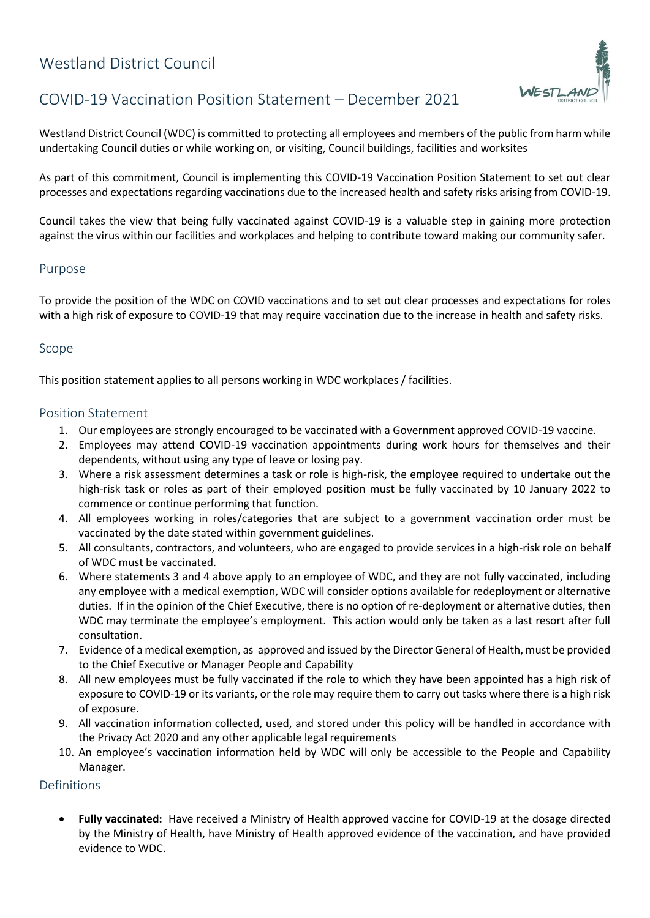# Westland District Council



NESTLAN

Westland District Council (WDC) is committed to protecting all employees and members of the public from harm while undertaking Council duties or while working on, or visiting, Council buildings, facilities and worksites

As part of this commitment, Council is implementing this COVID-19 Vaccination Position Statement to set out clear processes and expectations regarding vaccinations due to the increased health and safety risks arising from COVID-19.

Council takes the view that being fully vaccinated against COVID-19 is a valuable step in gaining more protection against the virus within our facilities and workplaces and helping to contribute toward making our community safer.

## Purpose

To provide the position of the WDC on COVID vaccinations and to set out clear processes and expectations for roles with a high risk of exposure to COVID-19 that may require vaccination due to the increase in health and safety risks.

#### Scope

This position statement applies to all persons working in WDC workplaces / facilities.

### Position Statement

- 1. Our employees are strongly encouraged to be vaccinated with a Government approved COVID-19 vaccine.
- 2. Employees may attend COVID-19 vaccination appointments during work hours for themselves and their dependents, without using any type of leave or losing pay.
- 3. Where a risk assessment determines a task or role is high-risk, the employee required to undertake out the high-risk task or roles as part of their employed position must be fully vaccinated by 10 January 2022 to commence or continue performing that function.
- 4. All employees working in roles/categories that are subject to a government vaccination order must be vaccinated by the date stated within government guidelines.
- 5. All consultants, contractors, and volunteers, who are engaged to provide services in a high-risk role on behalf of WDC must be vaccinated.
- 6. Where statements 3 and 4 above apply to an employee of WDC, and they are not fully vaccinated, including any employee with a medical exemption, WDC will consider options available for redeployment or alternative duties. If in the opinion of the Chief Executive, there is no option of re-deployment or alternative duties, then WDC may terminate the employee's employment. This action would only be taken as a last resort after full consultation.
- 7. Evidence of a medical exemption, as approved and issued by the Director General of Health, must be provided to the Chief Executive or Manager People and Capability
- 8. All new employees must be fully vaccinated if the role to which they have been appointed has a high risk of exposure to COVID-19 or its variants, or the role may require them to carry out tasks where there is a high risk of exposure.
- 9. All vaccination information collected, used, and stored under this policy will be handled in accordance with the Privacy Act 2020 and any other applicable legal requirements
- 10. An employee's vaccination information held by WDC will only be accessible to the People and Capability Manager.

## Definitions

 **Fully vaccinated:** Have received a Ministry of Health approved vaccine for COVID-19 at the dosage directed by the Ministry of Health, have Ministry of Health approved evidence of the vaccination, and have provided evidence to WDC.